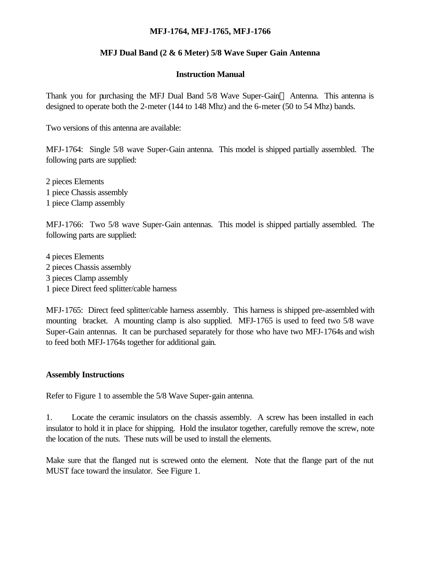# **MFJ-1764, MFJ-1765, MFJ-1766**

# **MFJ Dual Band (2 & 6 Meter) 5/8 Wave Super Gain Antenna**

#### **Instruction Manual**

Thank you for purchasing the MFJ Dual Band  $5/8$  Wave Super-Gain<sup>TM</sup> Antenna. This antenna is designed to operate both the 2-meter (144 to 148 Mhz) and the 6-meter (50 to 54 Mhz) bands.

Two versions of this antenna are available:

MFJ-1764: Single 5/8 wave Super-Gain antenna. This model is shipped partially assembled. The following parts are supplied:

2 pieces Elements 1 piece Chassis assembly 1 piece Clamp assembly

MFJ-1766: Two 5/8 wave Super-Gain antennas. This model is shipped partially assembled. The following parts are supplied:

4 pieces Elements 2 pieces Chassis assembly 3 pieces Clamp assembly 1 piece Direct feed splitter/cable harness

MFJ-1765: Direct feed splitter/cable harness assembly. This harness is shipped pre-assembled with mounting bracket. A mounting clamp is also supplied. MFJ-1765 is used to feed two 5/8 wave Super-Gain antennas. It can be purchased separately for those who have two MFJ-1764s and wish to feed both MFJ-1764s together for additional gain.

#### **Assembly Instructions**

Refer to Figure 1 to assemble the 5/8 Wave Super-gain antenna.

1. Locate the ceramic insulators on the chassis assembly. A screw has been installed in each insulator to hold it in place for shipping. Hold the insulator together, carefully remove the screw, note the location of the nuts. These nuts will be used to install the elements.

Make sure that the flanged nut is screwed onto the element. Note that the flange part of the nut MUST face toward the insulator. See Figure 1.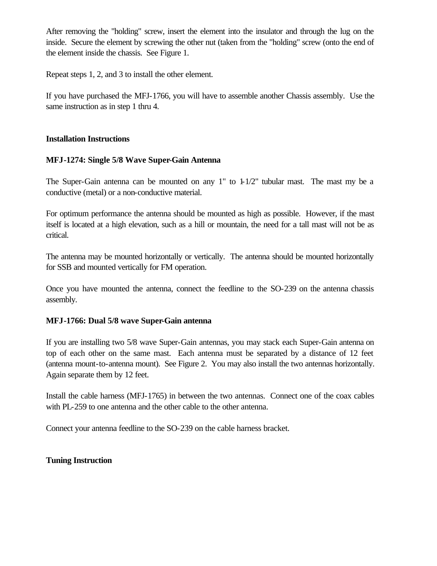After removing the "holding" screw, insert the element into the insulator and through the lug on the inside. Secure the element by screwing the other nut (taken from the "holding" screw (onto the end of the element inside the chassis. See Figure 1.

Repeat steps 1, 2, and 3 to install the other element.

If you have purchased the MFJ-1766, you will have to assemble another Chassis assembly. Use the same instruction as in step 1 thru 4.

### **Installation Instructions**

# **MFJ-1274: Single 5/8 Wave Super-Gain Antenna**

The Super-Gain antenna can be mounted on any 1" to 1-1/2" tubular mast. The mast my be a conductive (metal) or a non-conductive material.

For optimum performance the antenna should be mounted as high as possible. However, if the mast itself is located at a high elevation, such as a hill or mountain, the need for a tall mast will not be as critical.

The antenna may be mounted horizontally or vertically. The antenna should be mounted horizontally for SSB and mounted vertically for FM operation.

Once you have mounted the antenna, connect the feedline to the SO-239 on the antenna chassis assembly.

### **MFJ-1766: Dual 5/8 wave Super-Gain antenna**

If you are installing two 5/8 wave Super-Gain antennas, you may stack each Super-Gain antenna on top of each other on the same mast. Each antenna must be separated by a distance of 12 feet (antenna mount-to-antenna mount). See Figure 2. You may also install the two antennas horizontally. Again separate them by 12 feet.

Install the cable harness (MFJ-1765) in between the two antennas. Connect one of the coax cables with PL-259 to one antenna and the other cable to the other antenna.

Connect your antenna feedline to the SO-239 on the cable harness bracket.

# **Tuning Instruction**